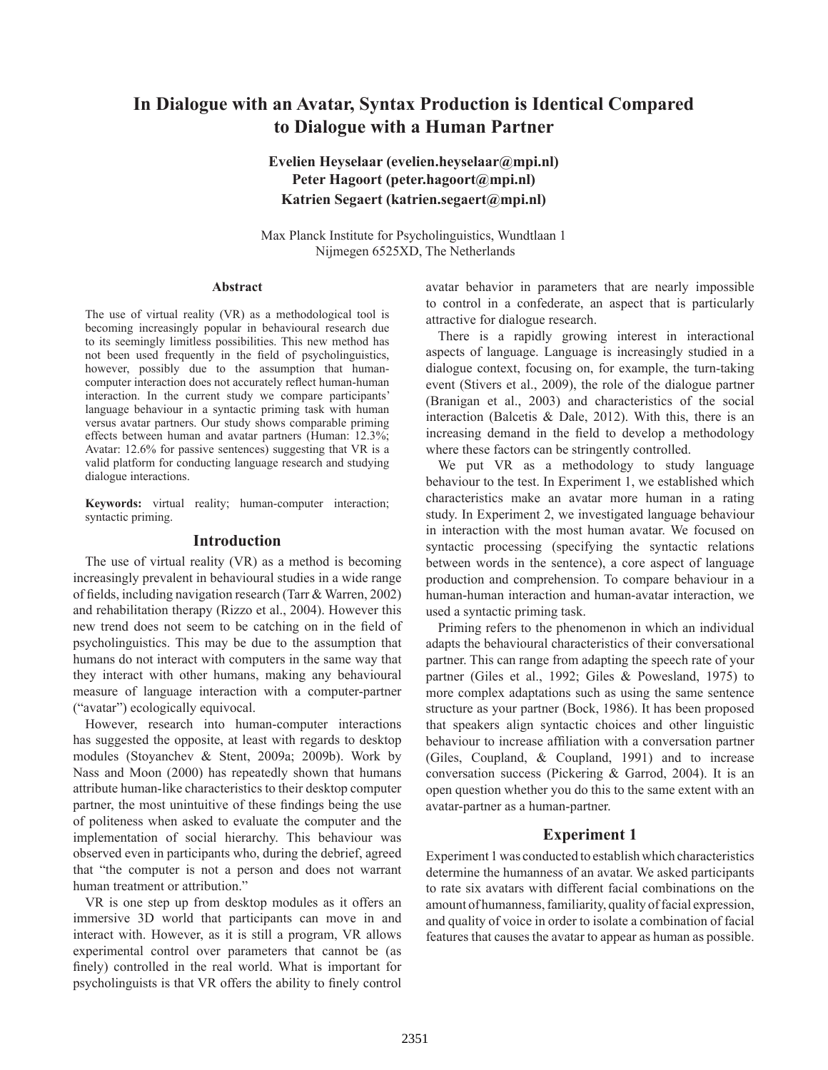# **In Dialogue with an Avatar, Syntax Production is Identical Compared to Dialogue with a Human Partner**

# **Evelien Heyselaar (evelien.heyselaar@mpi.nl) Peter Hagoort (peter.hagoort@mpi.nl) Katrien Segaert (katrien.segaert@mpi.nl)**

Max Planck Institute for Psycholinguistics, Wundtlaan 1 Nijmegen 6525XD, The Netherlands

#### **Abstract**

The use of virtual reality (VR) as a methodological tool is becoming increasingly popular in behavioural research due to its seemingly limitless possibilities. This new method has not been used frequently in the field of psycholinguistics, however, possibly due to the assumption that humancomputer interaction does not accurately reflect human-human interaction. In the current study we compare participants' language behaviour in a syntactic priming task with human versus avatar partners. Our study shows comparable priming effects between human and avatar partners (Human: 12.3%; Avatar: 12.6% for passive sentences) suggesting that VR is a valid platform for conducting language research and studying dialogue interactions.

**Keywords:** virtual reality; human-computer interaction; syntactic priming.

# **Introduction**

The use of virtual reality (VR) as a method is becoming increasingly prevalent in behavioural studies in a wide range of fields, including navigation research (Tarr & Warren, 2002) and rehabilitation therapy (Rizzo et al., 2004). However this new trend does not seem to be catching on in the field of psycholinguistics. This may be due to the assumption that humans do not interact with computers in the same way that they interact with other humans, making any behavioural measure of language interaction with a computer-partner ("avatar") ecologically equivocal.

However, research into human-computer interactions has suggested the opposite, at least with regards to desktop modules (Stoyanchev & Stent, 2009a; 2009b). Work by Nass and Moon (2000) has repeatedly shown that humans attribute human-like characteristics to their desktop computer partner, the most unintuitive of these findings being the use of politeness when asked to evaluate the computer and the implementation of social hierarchy. This behaviour was observed even in participants who, during the debrief, agreed that "the computer is not a person and does not warrant human treatment or attribution."

VR is one step up from desktop modules as it offers an immersive 3D world that participants can move in and interact with. However, as it is still a program, VR allows experimental control over parameters that cannot be (as finely) controlled in the real world. What is important for psycholinguists is that VR offers the ability to finely control avatar behavior in parameters that are nearly impossible to control in a confederate, an aspect that is particularly attractive for dialogue research.

There is a rapidly growing interest in interactional aspects of language. Language is increasingly studied in a dialogue context, focusing on, for example, the turn-taking event (Stivers et al., 2009), the role of the dialogue partner (Branigan et al., 2003) and characteristics of the social interaction (Balcetis & Dale, 2012). With this, there is an increasing demand in the field to develop a methodology where these factors can be stringently controlled.

We put VR as a methodology to study language behaviour to the test. In Experiment 1, we established which characteristics make an avatar more human in a rating study. In Experiment 2, we investigated language behaviour in interaction with the most human avatar. We focused on syntactic processing (specifying the syntactic relations between words in the sentence), a core aspect of language production and comprehension. To compare behaviour in a human-human interaction and human-avatar interaction, we used a syntactic priming task.

Priming refers to the phenomenon in which an individual adapts the behavioural characteristics of their conversational partner. This can range from adapting the speech rate of your partner (Giles et al., 1992; Giles & Powesland, 1975) to more complex adaptations such as using the same sentence structure as your partner (Bock, 1986). It has been proposed that speakers align syntactic choices and other linguistic behaviour to increase affiliation with a conversation partner (Giles, Coupland, & Coupland, 1991) and to increase conversation success (Pickering & Garrod, 2004). It is an open question whether you do this to the same extent with an avatar-partner as a human-partner.

# **Experiment 1**

Experiment 1 was conducted to establish which characteristics determine the humanness of an avatar. We asked participants to rate six avatars with different facial combinations on the amount of humanness, familiarity, quality of facial expression, and quality of voice in order to isolate a combination of facial features that causes the avatar to appear as human as possible.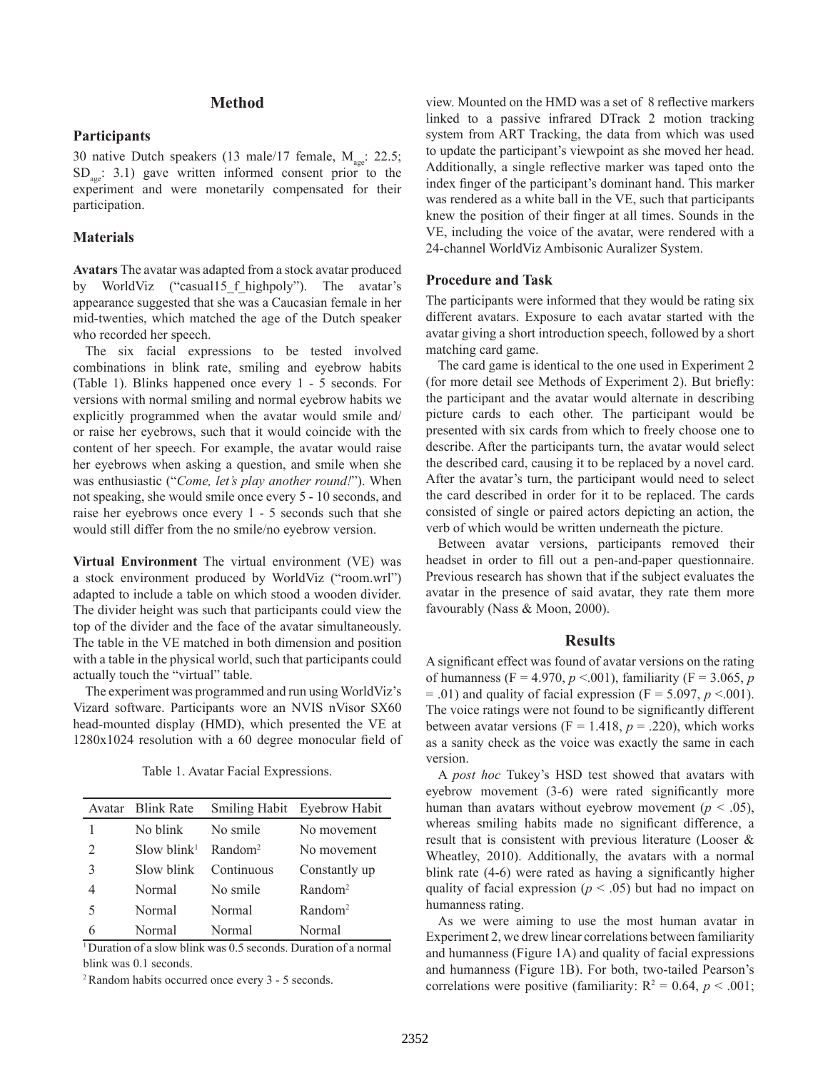# **Method**

# **Participants**

30 native Dutch speakers (13 male/17 female,  $M_{\text{age}}$ : 22.5;  $SD<sub>see</sub>: 3.1)$  gave written informed consent prior to the experiment and were monetarily compensated for their participation.

# **Materials**

**Avatars** The avatar was adapted from a stock avatar produced by WorldViz ("casual15 f highpoly"). The avatar's appearance suggested that she was a Caucasian female in her mid-twenties, which matched the age of the Dutch speaker who recorded her speech.

The six facial expressions to be tested involved combinations in blink rate, smiling and eyebrow habits (Table 1). Blinks happened once every 1 - 5 seconds. For versions with normal smiling and normal eyebrow habits we explicitly programmed when the avatar would smile and/ or raise her eyebrows, such that it would coincide with the content of her speech. For example, the avatar would raise her eyebrows when asking a question, and smile when she was enthusiastic ("*Come, let's play another round!*"). When not speaking, she would smile once every 5 - 10 seconds, and raise her eyebrows once every 1 - 5 seconds such that she would still differ from the no smile/no eyebrow version.

**Virtual Environment** The virtual environment (VE) was a stock environment produced by WorldViz ("room.wrl") adapted to include a table on which stood a wooden divider. The divider height was such that participants could view the top of the divider and the face of the avatar simultaneously. The table in the VE matched in both dimension and position with a table in the physical world, such that participants could actually touch the "virtual" table.

The experiment was programmed and run using WorldViz's Vizard software. Participants wore an NVIS nVisor SX60 head-mounted display (HMD), which presented the VE at 1280x1024 resolution with a 60 degree monocular field of

Table 1. Avatar Facial Expressions.

|                | Avatar Blink Rate          |                            | Smiling Habit Eyebrow Habit |
|----------------|----------------------------|----------------------------|-----------------------------|
| 1              | No blink                   | No smile                   | No movement                 |
| $\mathfrak{D}$ | $Slow\,hlink$ <sup>1</sup> | $\rm R$ and $\rm \rm cm^2$ | No movement                 |
| 3              | Slow blink                 | Continuous                 | Constantly up               |
| 4              | Normal                     | No smile                   | Random <sup>2</sup>         |
| 5              | Normal                     | Normal                     | Random <sup>2</sup>         |
| 6              | Normal                     | Normal                     | Normal                      |

<sup>1</sup> Duration of a slow blink was 0.5 seconds. Duration of a normal blink was 0.1 seconds.

2 Random habits occurred once every 3 - 5 seconds.

view. Mounted on the HMD was a set of 8 reflective markers linked to a passive infrared DTrack 2 motion tracking system from ART Tracking, the data from which was used to update the participant's viewpoint as she moved her head. Additionally, a single reflective marker was taped onto the index finger of the participant's dominant hand. This marker was rendered as a white ball in the VE, such that participants knew the position of their finger at all times. Sounds in the VE, including the voice of the avatar, were rendered with a 24-channel WorldViz Ambisonic Auralizer System.

### **Procedure and Task**

The participants were informed that they would be rating six different avatars. Exposure to each avatar started with the avatar giving a short introduction speech, followed by a short matching card game.

The card game is identical to the one used in Experiment 2 (for more detail see Methods of Experiment 2). But briefly: the participant and the avatar would alternate in describing picture cards to each other. The participant would be presented with six cards from which to freely choose one to describe. After the participants turn, the avatar would select the described card, causing it to be replaced by a novel card. After the avatar's turn, the participant would need to select the card described in order for it to be replaced. The cards consisted of single or paired actors depicting an action, the verb of which would be written underneath the picture.

Between avatar versions, participants removed their headset in order to fill out a pen-and-paper questionnaire. Previous research has shown that if the subject evaluates the avatar in the presence of said avatar, they rate them more favourably (Nass & Moon, 2000).

# **Results**

A significant effect was found of avatar versions on the rating of humanness (F = 4.970, *p* <.001), familiarity (F = 3.065, *p*  $=$  .01) and quality of facial expression (F  $=$  5.097,  $p$  <.001). The voice ratings were not found to be significantly different between avatar versions ( $F = 1.418$ ,  $p = .220$ ), which works as a sanity check as the voice was exactly the same in each version.

A *post hoc* Tukey's HSD test showed that avatars with eyebrow movement (3-6) were rated significantly more human than avatars without eyebrow movement ( $p < .05$ ), whereas smiling habits made no significant difference, a result that is consistent with previous literature (Looser & Wheatley, 2010). Additionally, the avatars with a normal blink rate (4-6) were rated as having a significantly higher quality of facial expression ( $p < .05$ ) but had no impact on humanness rating.

As we were aiming to use the most human avatar in Experiment 2, we drew linear correlations between familiarity and humanness (Figure 1A) and quality of facial expressions and humanness (Figure 1B). For both, two-tailed Pearson's correlations were positive (familiarity:  $R^2 = 0.64$ ,  $p < .001$ ;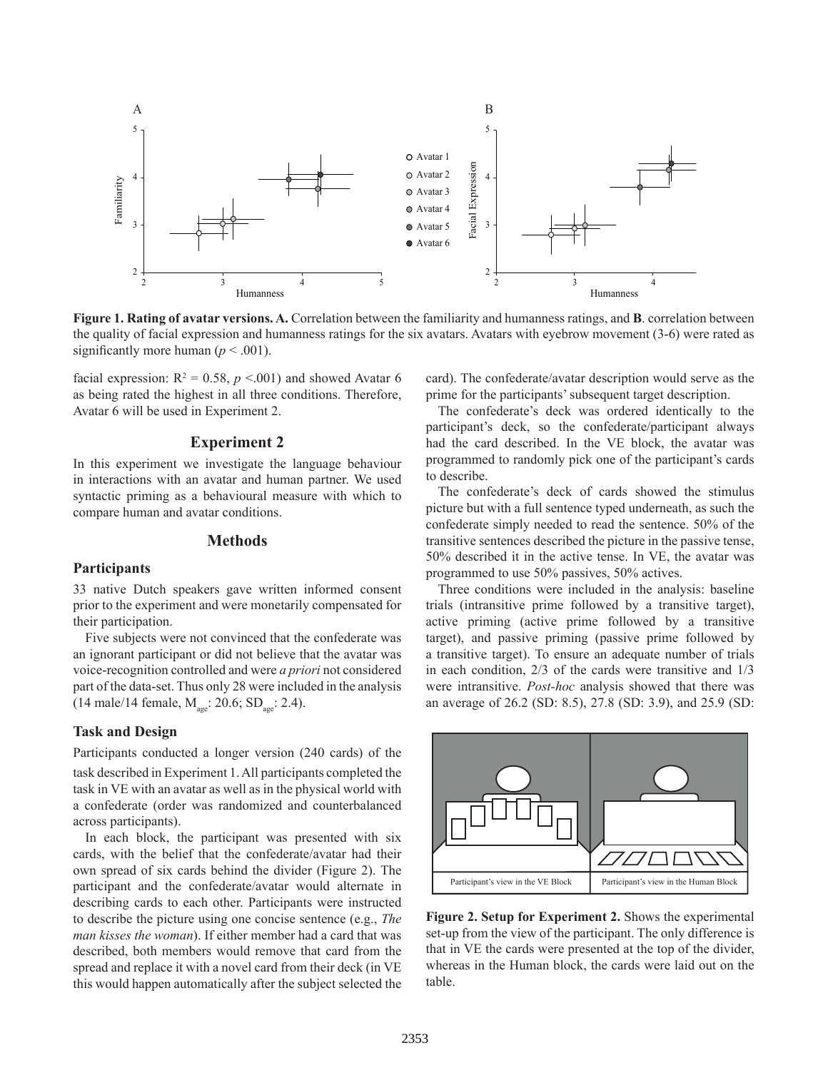

**Figure 1. Rating of avatar versions. A.** Correlation between the familiarity and humanness ratings, and **B**. correlation between the quality of facial expression and humanness ratings for the six avatars. Avatars with eyebrow movement (3-6) were rated as significantly more human ( $p < .001$ ).

facial expression:  $R^2 = 0.58$ ,  $p \le 0.001$ ) and showed Avatar 6 as being rated the highest in all three conditions. Therefore, Avatar 6 will be used in Experiment 2.

# **Experiment 2**

In this experiment we investigate the language behaviour in interactions with an avatar and human partner. We used syntactic priming as a behavioural measure with which to compare human and avatar conditions.

# **Methods**

#### **Participants**

33 native Dutch speakers gave written informed consent prior to the experiment and were monetarily compensated for their participation.

Five subjects were not convinced that the confederate was an ignorant participant or did not believe that the avatar was voice-recognition controlled and were *a priori* not considered part of the data-set. Thus only 28 were included in the analysis (14 male/14 female,  $M_{\text{age}}$ : 20.6; SD<sub>age</sub>: 2.4).

### **Task and Design**

Participants conducted a longer version (240 cards) of the task described in Experiment 1. All participants completed the task in VE with an avatar as well as in the physical world with a confederate (order was randomized and counterbalanced across participants).

In each block, the participant was presented with six cards, with the belief that the confederate/avatar had their own spread of six cards behind the divider (Figure 2). The participant and the confederate/avatar would alternate in describing cards to each other. Participants were instructed to describe the picture using one concise sentence (e.g., *The man kisses the woman*). If either member had a card that was described, both members would remove that card from the spread and replace it with a novel card from their deck (in VE this would happen automatically after the subject selected the card). The confederate/avatar description would serve as the prime for the participants' subsequent target description.

The confederate's deck was ordered identically to the participant's deck, so the confederate/participant always had the card described. In the VE block, the avatar was programmed to randomly pick one of the participant's cards to describe.

The confederate's deck of cards showed the stimulus picture but with a full sentence typed underneath, as such the confederate simply needed to read the sentence. 50% of the transitive sentences described the picture in the passive tense, 50% described it in the active tense. In VE, the avatar was programmed to use 50% passives, 50% actives.

Three conditions were included in the analysis: baseline trials (intransitive prime followed by a transitive target), active priming (active prime followed by a transitive target), and passive priming (passive prime followed by a transitive target). To ensure an adequate number of trials in each condition, 2/3 of the cards were transitive and 1/3 were intransitive. *Post-hoc* analysis showed that there was an average of 26.2 (SD: 8.5), 27.8 (SD: 3.9), and 25.9 (SD:



**Figure 2. Setup for Experiment 2.** Shows the experimental set-up from the view of the participant. The only difference is that in VE the cards were presented at the top of the divider, whereas in the Human block, the cards were laid out on the table.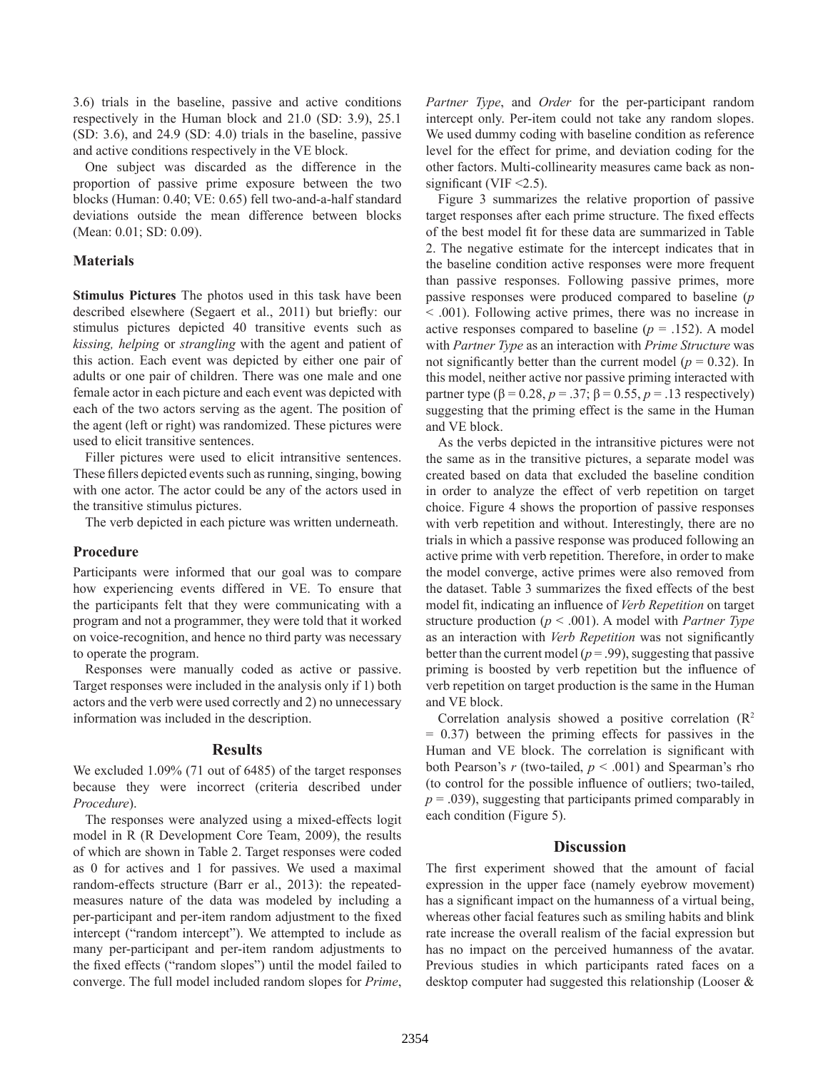3.6) trials in the baseline, passive and active conditions respectively in the Human block and 21.0 (SD: 3.9), 25.1 (SD: 3.6), and 24.9 (SD: 4.0) trials in the baseline, passive and active conditions respectively in the VE block.

One subject was discarded as the difference in the proportion of passive prime exposure between the two blocks (Human: 0.40; VE: 0.65) fell two-and-a-half standard deviations outside the mean difference between blocks (Mean: 0.01; SD: 0.09).

# **Materials**

**Stimulus Pictures** The photos used in this task have been described elsewhere (Segaert et al., 2011) but briefly: our stimulus pictures depicted 40 transitive events such as *kissing, helping* or *strangling* with the agent and patient of this action. Each event was depicted by either one pair of adults or one pair of children. There was one male and one female actor in each picture and each event was depicted with each of the two actors serving as the agent. The position of the agent (left or right) was randomized. These pictures were used to elicit transitive sentences.

Filler pictures were used to elicit intransitive sentences. These fillers depicted events such as running, singing, bowing with one actor. The actor could be any of the actors used in the transitive stimulus pictures.

The verb depicted in each picture was written underneath.

#### **Procedure**

Participants were informed that our goal was to compare how experiencing events differed in VE. To ensure that the participants felt that they were communicating with a program and not a programmer, they were told that it worked on voice-recognition, and hence no third party was necessary to operate the program.

Responses were manually coded as active or passive. Target responses were included in the analysis only if 1) both actors and the verb were used correctly and 2) no unnecessary information was included in the description.

### **Results**

We excluded 1.09% (71 out of 6485) of the target responses because they were incorrect (criteria described under *Procedure*).

The responses were analyzed using a mixed-effects logit model in R (R Development Core Team, 2009), the results of which are shown in Table 2. Target responses were coded as 0 for actives and 1 for passives. We used a maximal random-effects structure (Barr er al., 2013): the repeatedmeasures nature of the data was modeled by including a per-participant and per-item random adjustment to the fixed intercept ("random intercept"). We attempted to include as many per-participant and per-item random adjustments to the fixed effects ("random slopes") until the model failed to converge. The full model included random slopes for *Prime*, *Partner Type*, and *Order* for the per-participant random intercept only. Per-item could not take any random slopes. We used dummy coding with baseline condition as reference level for the effect for prime, and deviation coding for the other factors. Multi-collinearity measures came back as nonsignificant (VIF  $\leq$ 2.5).

Figure 3 summarizes the relative proportion of passive target responses after each prime structure. The fixed effects of the best model fit for these data are summarized in Table 2. The negative estimate for the intercept indicates that in the baseline condition active responses were more frequent than passive responses. Following passive primes, more passive responses were produced compared to baseline (*p* < .001). Following active primes, there was no increase in active responses compared to baseline  $(p = .152)$ . A model with *Partner Type* as an interaction with *Prime Structure* was not significantly better than the current model ( $p = 0.32$ ). In this model, neither active nor passive priming interacted with partner type (β = 0.28, *p* = .37; β = 0.55, *p* = .13 respectively) suggesting that the priming effect is the same in the Human and VE block.

As the verbs depicted in the intransitive pictures were not the same as in the transitive pictures, a separate model was created based on data that excluded the baseline condition in order to analyze the effect of verb repetition on target choice. Figure 4 shows the proportion of passive responses with verb repetition and without. Interestingly, there are no trials in which a passive response was produced following an active prime with verb repetition. Therefore, in order to make the model converge, active primes were also removed from the dataset. Table 3 summarizes the fixed effects of the best model fit, indicating an influence of *Verb Repetition* on target structure production (*p* < .001). A model with *Partner Type*  as an interaction with *Verb Repetition* was not significantly better than the current model ( $p = .99$ ), suggesting that passive priming is boosted by verb repetition but the influence of verb repetition on target production is the same in the Human and VE block.

Correlation analysis showed a positive correlation  $(R^2)$  $= 0.37$ ) between the priming effects for passives in the Human and VE block. The correlation is significant with both Pearson's  $r$  (two-tailed,  $p < .001$ ) and Spearman's rho (to control for the possible influence of outliers; two-tailed,  $p = .039$ ), suggesting that participants primed comparably in each condition (Figure 5).

# **Discussion**

The first experiment showed that the amount of facial expression in the upper face (namely eyebrow movement) has a significant impact on the humanness of a virtual being, whereas other facial features such as smiling habits and blink rate increase the overall realism of the facial expression but has no impact on the perceived humanness of the avatar. Previous studies in which participants rated faces on a desktop computer had suggested this relationship (Looser &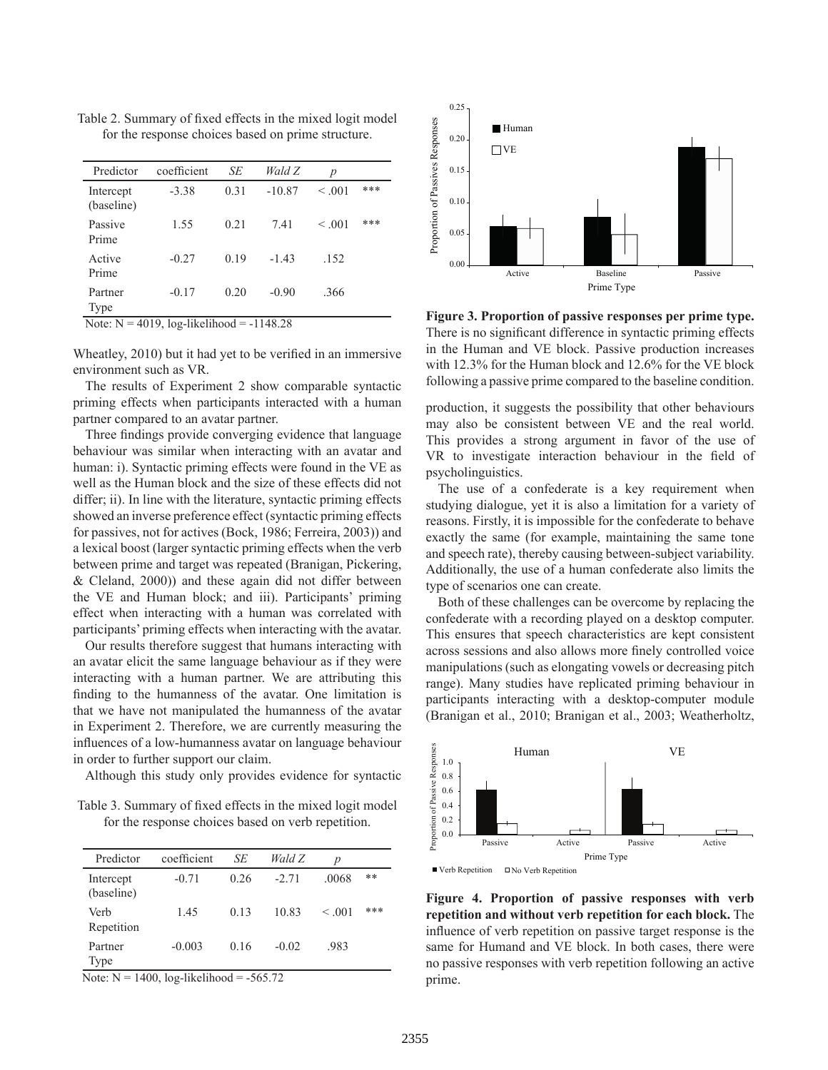Table 2. Summary of fixed effects in the mixed logit model for the response choices based on prime structure.

| Predictor               | coefficient | SE   | Wald Z   | р            |     |
|-------------------------|-------------|------|----------|--------------|-----|
| Intercept<br>(baseline) | $-3.38$     | 0.31 | $-10.87$ | < 0.01       | *** |
| Passive<br>Prime        | 1.55        | 0.21 | 741      | $\leq 0.001$ | *** |
| Active<br>Prime         | $-0.27$     | 0.19 | $-143$   | .152         |     |
| Partner<br>Type         | $-0.17$     | 0.20 | $-0.90$  | .366         |     |

Wheatley, 2010) but it had yet to be verified in an immersive environment such as VR.

The results of Experiment 2 show comparable syntactic priming effects when participants interacted with a human partner compared to an avatar partner.

Three findings provide converging evidence that language behaviour was similar when interacting with an avatar and human: i). Syntactic priming effects were found in the VE as well as the Human block and the size of these effects did not differ; ii). In line with the literature, syntactic priming effects showed an inverse preference effect (syntactic priming effects for passives, not for actives (Bock, 1986; Ferreira, 2003)) and a lexical boost (larger syntactic priming effects when the verb between prime and target was repeated (Branigan, Pickering, & Cleland, 2000)) and these again did not differ between the VE and Human block; and iii). Participants' priming effect when interacting with a human was correlated with participants' priming effects when interacting with the avatar.

Our results therefore suggest that humans interacting with an avatar elicit the same language behaviour as if they were interacting with a human partner. We are attributing this finding to the humanness of the avatar. One limitation is that we have not manipulated the humanness of the avatar in Experiment 2. Therefore, we are currently measuring the influences of a low-humanness avatar on language behaviour in order to further support our claim.

Although this study only provides evidence for syntactic

Table 3. Summary of fixed effects in the mixed logit model for the response choices based on verb repetition.

| Predictor               | coefficient | SЕ   | Wald Z  | $\boldsymbol{p}$ |     |
|-------------------------|-------------|------|---------|------------------|-----|
| Intercept<br>(baseline) | $-0.71$     | 0.26 | $-2.71$ | .0068            | **  |
| Verb<br>Repetition      | 1.45        | 0.13 | 10.83   | $\leq 0.01$      | *** |
| Partner<br>Type         | $-0.003$    | 0.16 | $-0.02$ | .983             |     |

Note:  $N = 1400$ , log-likelihood = -565.72



Figure 3. Proportion of passive responses per prime type.<br>Note: N = 4019, log-likelihood = -1148.28 There is no significant difference in syntactic priming effects in the Human and VE block. Passive production increases with 12.3% for the Human block and 12.6% for the VE block following a passive prime compared to the baseline condition.

production, it suggests the possibility that other behaviours may also be consistent between VE and the real world. This provides a strong argument in favor of the use of VR to investigate interaction behaviour in the field of psycholinguistics.

The use of a confederate is a key requirement when studying dialogue, yet it is also a limitation for a variety of reasons. Firstly, it is impossible for the confederate to behave exactly the same (for example, maintaining the same tone and speech rate), thereby causing between-subject variability. Additionally, the use of a human confederate also limits the type of scenarios one can create.

Both of these challenges can be overcome by replacing the confederate with a recording played on a desktop computer. This ensures that speech characteristics are kept consistent across sessions and also allows more finely controlled voice manipulations (such as elongating vowels or decreasing pitch range). Many studies have replicated priming behaviour in participants interacting with a desktop-computer module (Branigan et al., 2010; Branigan et al., 2003; Weatherholtz,



**Figure 4. Proportion of passive responses with verb repetition and without verb repetition for each block.** The influence of verb repetition on passive target response is the same for Humand and VE block. In both cases, there were no passive responses with verb repetition following an active prime.